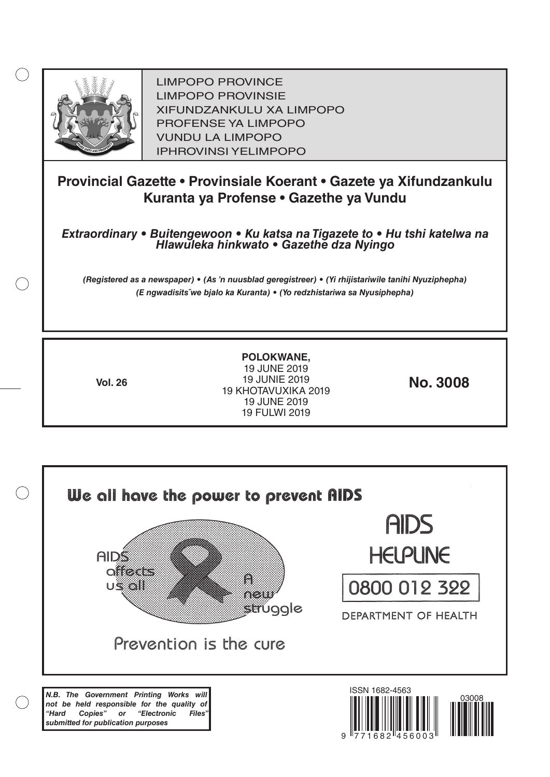

LIMPOPO PROVINCE LIMPOPO PROVINSIE XIFUNDZANKULU XA LIMPOPO PROFENSE YA LIMPOPO VUNDU LA LIMPOPO IPHROVINSI YELIMPOPO

# **Provincial Gazette • Provinsiale Koerant • Gazete ya Xifundzankulu Kuranta ya Profense • Gazethe ya Vundu**

*Extraordinary • Buitengewoon • Ku katsa na Tigazete to • Hu tshi katelwa na Hlawuleka hinkwato • Gazethe dza Nyingo*

*(Registered as a newspaper) • (As 'n nuusblad geregistreer) • (Yi rhijistariwile tanihi Nyuziphepha) (E ngwadisitsˇwe bjalo ka Kuranta) • (Yo redzhistariwa sa Nyusiphepha)*

**POLOKWANE,** 19 JUNE 2019 19 JUNIE 2019 19 KHOTAVUXIKA 2019 19 JUNE 2019 19 FULWI 2019 **Vol. 26 No. 3008**

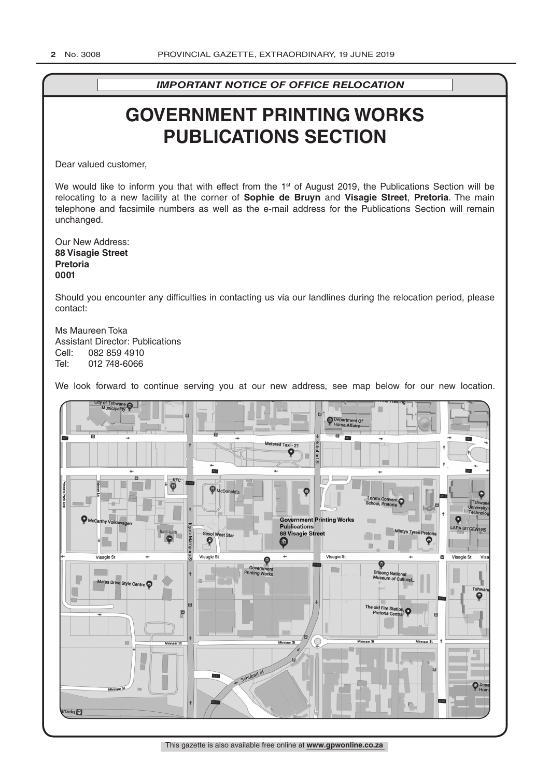*IMPORTANT NOTICE OF OFFICE RELOCATION*

# **GOVERNMENT PRINTING WORKS PUBLICATIONS SECTION**

Dear valued customer,

We would like to inform you that with effect from the 1<sup>st</sup> of August 2019, the Publications Section will be relocating to a new facility at the corner of **Sophie de Bruyn** and **Visagie Street**, **Pretoria**. The main telephone and facsimile numbers as well as the e-mail address for the Publications Section will remain unchanged.

Our New Address: **88 Visagie Street Pretoria 0001**

Should you encounter any difficulties in contacting us via our landlines during the relocation period, please contact:

Ms Maureen Toka Assistant Director: Publications Cell: 082 859 4910 Tel: 012 748-6066

We look forward to continue serving you at our new address, see map below for our new location.

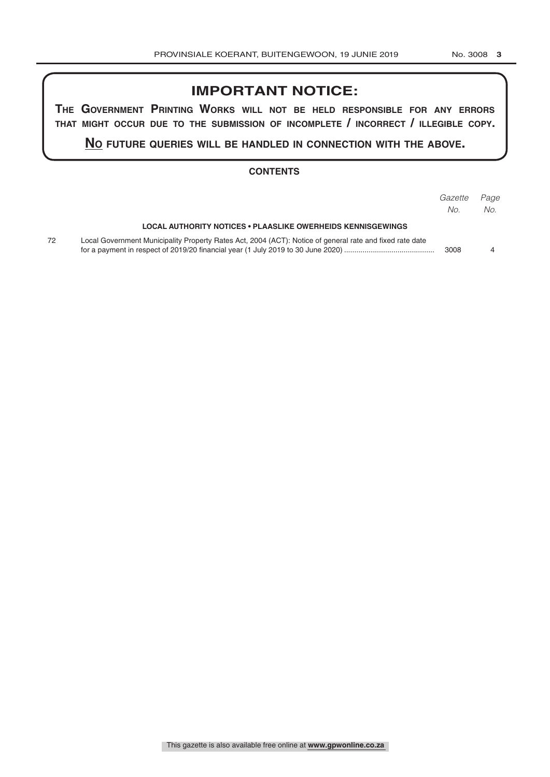# **IMPORTANT NOTICE:**

**The GovernmenT PrinTinG Works Will noT be held resPonsible for any errors ThaT miGhT occur due To The submission of incomPleTe / incorrecT / illeGible coPy.**

**no fuTure queries Will be handled in connecTion WiTh The above.**

### **CONTENTS**

|    |                                                                                                          | Gazette | Page |
|----|----------------------------------------------------------------------------------------------------------|---------|------|
|    |                                                                                                          | No.     | No.  |
|    | LOCAL AUTHORITY NOTICES • PLAASLIKE OWERHEIDS KENNISGEWINGS                                              |         |      |
| 72 | Local Government Municipality Property Rates Act, 2004 (ACT): Notice of general rate and fixed rate date | 3008    |      |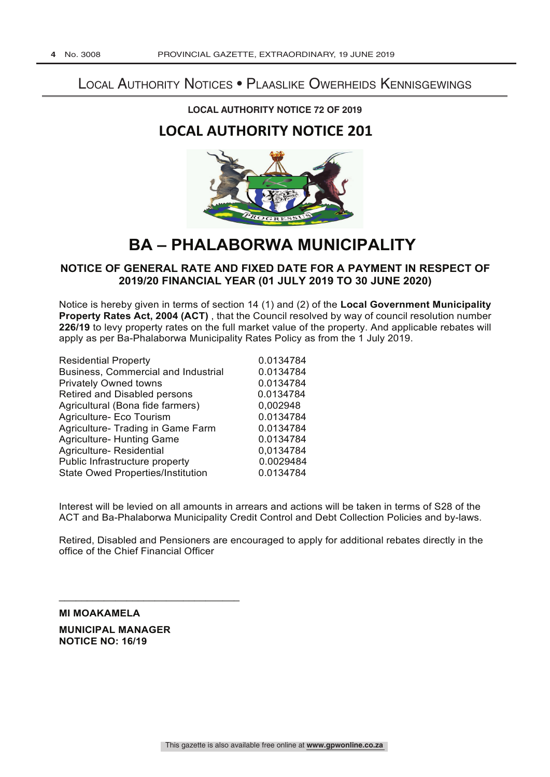# Local Authority Notices • Plaaslike Owerheids Kennisgewings

# **LOCAL AUTHORITY NOTICE 72 OF 2019**

# **LOCAL AUTHORITY NOTICE 201**



# **BA – PHALABORWA MUNICIPALITY**

# **NOTICE OF GENERAL RATE AND FIXED DATE FOR A PAYMENT IN RESPECT OF 2019/20 FINANCIAL YEAR (01 JULY 2019 TO 30 JUNE 2020)**

Notice is hereby given in terms of section 14 (1) and (2) of the **Local Government Municipality Property Rates Act, 2004 (ACT)** , that the Council resolved by way of council resolution number **226/19** to levy property rates on the full market value of the property. And applicable rebates will apply as per Ba-Phalaborwa Municipality Rates Policy as from the 1 July 2019.

| <b>Residential Property</b>              | 0.0134784 |
|------------------------------------------|-----------|
| Business, Commercial and Industrial      | 0.0134784 |
| <b>Privately Owned towns</b>             | 0.0134784 |
| Retired and Disabled persons             | 0.0134784 |
| Agricultural (Bona fide farmers)         | 0,002948  |
| Agriculture- Eco Tourism                 | 0.0134784 |
| Agriculture- Trading in Game Farm        | 0.0134784 |
| <b>Agriculture- Hunting Game</b>         | 0.0134784 |
| Agriculture-Residential                  | 0,0134784 |
| Public Infrastructure property           | 0.0029484 |
| <b>State Owed Properties/Institution</b> | 0.0134784 |
|                                          |           |

Interest will be levied on all amounts in arrears and actions will be taken in terms of S28 of the ACT and Ba-Phalaborwa Municipality Credit Control and Debt Collection Policies and by-laws.

Retired, Disabled and Pensioners are encouraged to apply for additional rebates directly in the office of the Chief Financial Officer

**MI MOAKAMELA**

**MUNICIPAL MANAGER NOTICE NO: 16/19** 

\_\_\_\_\_\_\_\_\_\_\_\_\_\_\_\_\_\_\_\_\_\_\_\_\_\_\_\_\_\_\_\_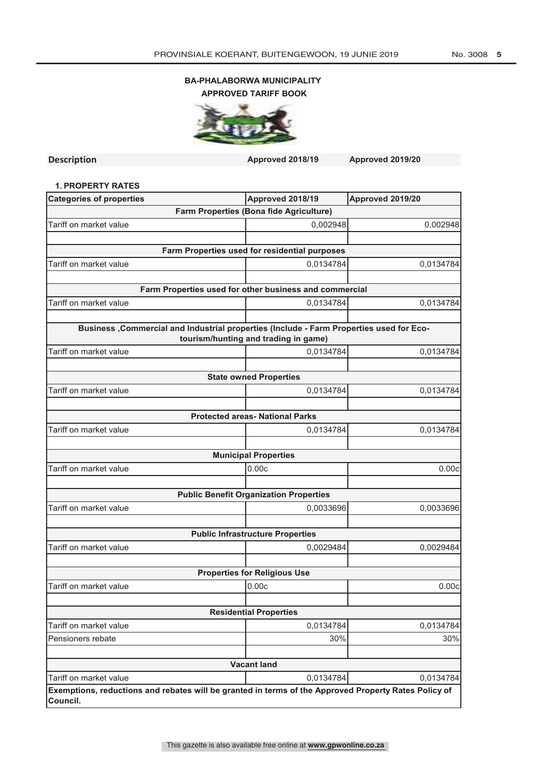### **BA-PHALABORWA MUNICIPALITY APPROVED TARIFF BOOK**



**Description Approved 2018/19 Approved 2019/20**

#### **1. PROPERTY RATES**

| <b>Categories of properties</b>                                                                                  | Approved 2018/19                                  | Approved 2019/20 |
|------------------------------------------------------------------------------------------------------------------|---------------------------------------------------|------------------|
|                                                                                                                  | Farm Properties (Bona fide Agriculture)           |                  |
| Tariff on market value                                                                                           | 0,002948                                          | 0,002948         |
|                                                                                                                  |                                                   |                  |
|                                                                                                                  | Farm Properties used for residential purposes     |                  |
| Tariff on market value                                                                                           | 0,0134784                                         | 0,0134784        |
|                                                                                                                  |                                                   |                  |
| Farm Properties used for other business and commercial                                                           |                                                   |                  |
| Tariff on market value                                                                                           | 0,0134784                                         | 0,0134784        |
|                                                                                                                  |                                                   |                  |
| Business , Commercial and Industrial properties (Include - Farm Properties used for Eco-                         |                                                   |                  |
| Tariff on market value                                                                                           | tourism/hunting and trading in game)<br>0,0134784 | 0.0134784        |
|                                                                                                                  |                                                   |                  |
|                                                                                                                  | <b>State owned Properties</b>                     |                  |
| Tariff on market value                                                                                           | 0,0134784                                         | 0,0134784        |
|                                                                                                                  |                                                   |                  |
|                                                                                                                  | <b>Protected areas- National Parks</b>            |                  |
| Tariff on market value                                                                                           | 0,0134784                                         | 0,0134784        |
|                                                                                                                  |                                                   |                  |
|                                                                                                                  | <b>Municipal Properties</b>                       |                  |
| Tariff on market value                                                                                           | 0.00c                                             | 0.00c            |
|                                                                                                                  |                                                   |                  |
|                                                                                                                  | <b>Public Benefit Organization Properties</b>     |                  |
| Tariff on market value                                                                                           | 0,0033696                                         | 0,0033696        |
|                                                                                                                  |                                                   |                  |
|                                                                                                                  | <b>Public Infrastructure Properties</b>           |                  |
| Tariff on market value                                                                                           | 0,0029484                                         | 0,0029484        |
|                                                                                                                  |                                                   |                  |
|                                                                                                                  | <b>Properties for Religious Use</b>               |                  |
| Tariff on market value                                                                                           | 0.00c                                             | 0.00c            |
|                                                                                                                  |                                                   |                  |
|                                                                                                                  | <b>Residential Properties</b>                     |                  |
| Tariff on market value                                                                                           | 0,0134784                                         | 0,0134784        |
| Pensioners rebate                                                                                                | 30%                                               | 30%              |
|                                                                                                                  |                                                   |                  |
|                                                                                                                  | <b>Vacant land</b>                                |                  |
| Tariff on market value                                                                                           | 0,0134784                                         | 0,0134784        |
| Exemptions, reductions and rebates will be granted in terms of the Approved Property Rates Policy of<br>Council. |                                                   |                  |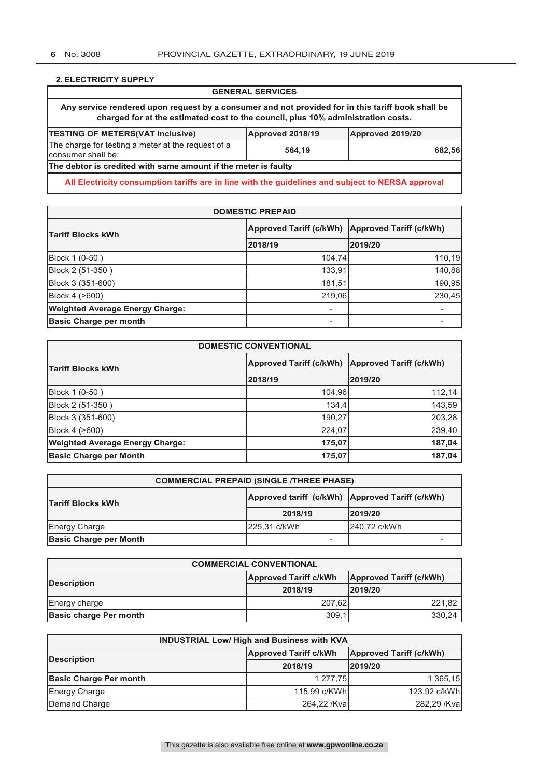#### **2. ELECTRICITY SUPPLY**

| <b>GENERAL SERVICES</b>                                                                                                                                                               |  |  |  |
|---------------------------------------------------------------------------------------------------------------------------------------------------------------------------------------|--|--|--|
| Any service rendered upon request by a consumer and not provided for in this tariff book shall be<br>charged for at the estimated cost to the council, plus 10% administration costs. |  |  |  |
| <b>TESTING OF METERS(VAT Inclusive)</b><br>Approved 2018/19<br>Approved 2019/20                                                                                                       |  |  |  |
| The charge for testing a meter at the request of a<br>564.19<br>682.56<br>consumer shall be:                                                                                          |  |  |  |
| The debtor is credited with same amount if the meter is faulty                                                                                                                        |  |  |  |
|                                                                                                                                                                                       |  |  |  |

**All Electricity consumption tariffs are in line with the guidelines and subject to NERSA approval** 

| <b>DOMESTIC PREPAID</b>                |                                                   |         |
|----------------------------------------|---------------------------------------------------|---------|
| <b>Tariff Blocks kWh</b>               | Approved Tariff (c/kWh)   Approved Tariff (c/kWh) |         |
|                                        | 2018/19                                           | 2019/20 |
| Block 1 (0-50)                         | 104,74                                            | 110,19  |
| Block 2 (51-350)                       | 133,91                                            | 140,88  |
| Block 3 (351-600)                      | 181,51                                            | 190,95  |
| Block 4 (>600)                         | 219,06                                            | 230,45  |
| <b>Weighted Average Energy Charge:</b> |                                                   |         |
| <b>Basic Charge per month</b>          |                                                   |         |

| <b>DOMESTIC CONVENTIONAL</b>           |                                                   |         |
|----------------------------------------|---------------------------------------------------|---------|
| <b>Tariff Blocks kWh</b>               | Approved Tariff (c/kWh)   Approved Tariff (c/kWh) |         |
|                                        | 2018/19                                           | 2019/20 |
| Block 1 (0-50)                         | 104,96                                            | 112,14  |
| Block 2 (51-350)                       | 134,4                                             | 143,59  |
| Block 3 (351-600)                      | 190,27                                            | 203,28  |
| Block 4 (>600)                         | 224,07                                            | 239,40  |
| <b>Weighted Average Energy Charge:</b> | 175,07                                            | 187,04  |
| <b>Basic Charge per Month</b>          | 175,07                                            | 187,04  |

| <b>COMMERCIAL PREPAID (SINGLE /THREE PHASE)</b> |                                                 |              |  |
|-------------------------------------------------|-------------------------------------------------|--------------|--|
| <b>Tariff Blocks kWh</b>                        | Approved tariff (c/kWh) Approved Tariff (c/kWh) |              |  |
|                                                 | 2018/19                                         | 2019/20      |  |
| Energy Charge                                   | 225,31 c/kWh                                    | 240,72 c/kWh |  |
| <b>Basic Charge per Month</b>                   |                                                 |              |  |

| <b>COMMERCIAL CONVENTIONAL</b> |                              |                                |
|--------------------------------|------------------------------|--------------------------------|
| <b>Description</b>             | <b>Approved Tariff c/kWh</b> | <b>Approved Tariff (c/kWh)</b> |
|                                | 2018/19                      | 2019/20                        |
| Energy charge                  | 207.62                       | 221.82                         |
| <b>Basic charge Per month</b>  | 309,1                        | 330.24                         |

| <b>INDUSTRIAL Low/ High and Business with KVA</b> |                              |                                |  |
|---------------------------------------------------|------------------------------|--------------------------------|--|
| <b>Description</b>                                | <b>Approved Tariff c/kWh</b> | <b>Approved Tariff (c/kWh)</b> |  |
|                                                   | 2018/19                      | 2019/20                        |  |
| <b>Basic Charge Per month</b>                     | 1 277.75                     | 1 365,15                       |  |
| <b>Energy Charge</b>                              | 115,99 c/KWh                 | 123,92 c/kWh                   |  |
| Demand Charge                                     | 264,22 /Kval                 | 282,29 /Kval                   |  |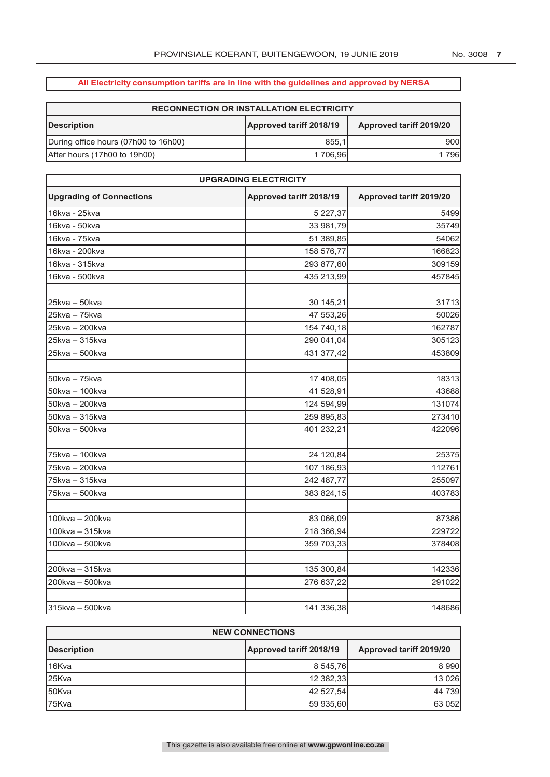# **All Electricity consumption tariffs are in line with the guidelines and approved by NERSA**

| <b>RECONNECTION OR INSTALLATION ELECTRICITY</b> |                         |                         |  |
|-------------------------------------------------|-------------------------|-------------------------|--|
| <b>Description</b>                              | Approved tariff 2018/19 | Approved tariff 2019/20 |  |
| During office hours (07h00 to 16h00)            | 855.1                   | 900                     |  |
| After hours (17h00 to 19h00)                    | 1706.96                 | 1 796                   |  |

| <b>UPGRADING ELECTRICITY</b>    |                         |                         |
|---------------------------------|-------------------------|-------------------------|
| <b>Upgrading of Connections</b> | Approved tariff 2018/19 | Approved tariff 2019/20 |
| 16kva - 25kva                   | 5 227,37                | 5499                    |
| 16kva - 50kva                   | 33 981,79               | 35749                   |
| 16kva - 75kva                   | 51 389,85               | 54062                   |
| 16kva - 200kva                  | 158 576,77              | 166823                  |
| 16kva - 315kva                  | 293 877,60              | 309159                  |
| 16kva - 500kva                  | 435 213,99              | 457845                  |
| 25kva - 50kva                   | 30 145,21               | 31713                   |
| 25kva - 75kva                   | 47 553,26               | 50026                   |
| 25kva - 200kva                  | 154 740,18              | 162787                  |
| 25kva - 315kva                  | 290 041,04              | 305123                  |
| 25kva - 500kva                  | 431 377,42              | 453809                  |
| 50kva - 75kva                   | 17 408,05               | 18313                   |
| 50kva - 100kva                  | 41 528,91               | 43688                   |
| 50kva - 200kva                  | 124 594,99              | 131074                  |
| 50kva - 315kva                  | 259 895,83              | 273410                  |
| 50kva - 500kva                  | 401 232,21              | 422096                  |
| 75kva - 100kva                  | 24 120,84               | 25375                   |
| 75kva - 200kva                  | 107 186,93              | 112761                  |
| 75kva - 315kva                  | 242 487,77              | 255097                  |
| 75kva - 500kva                  | 383 824,15              | 403783                  |
| 100kva - 200kva                 | 83 066,09               | 87386                   |
| 100kva - 315kva                 | 218 366,94              | 229722                  |
| 100kva - 500kva                 | 359 703,33              | 378408                  |
| 200kva - 315kva                 | 135 300,84              | 142336                  |
| 200kva - 500kva                 | 276 637,22              | 291022                  |
| l315kva – 500kva                | 141 336,38              | 148686                  |

| <b>NEW CONNECTIONS</b> |                         |                         |
|------------------------|-------------------------|-------------------------|
| <b>Description</b>     | Approved tariff 2018/19 | Approved tariff 2019/20 |
| 16Kva                  | 8 545,76                | 8990                    |
| 25Kva                  | 12 382,33               | 13 0 26                 |
| 50Kva                  | 42 527,54               | 44 739                  |
| 75Kva                  | 59 935,60               | 63 052                  |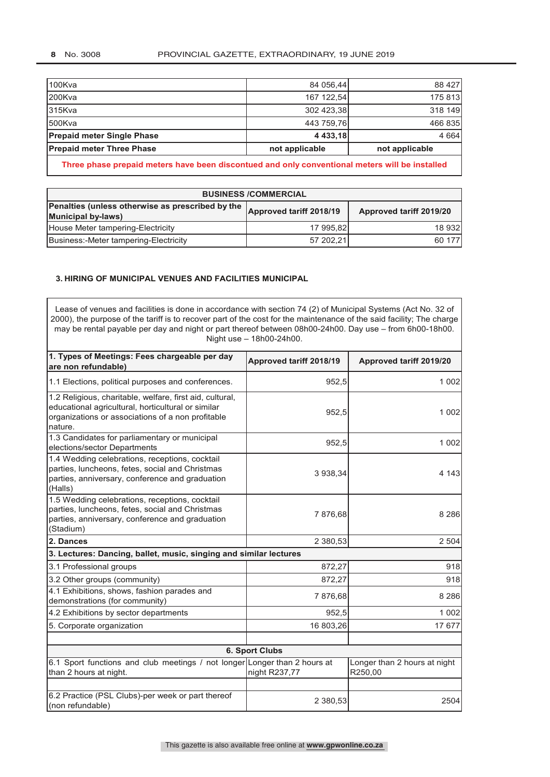| <b>Prepaid meter Three Phase</b>  | not applicable | not applicable |
|-----------------------------------|----------------|----------------|
| <b>Prepaid meter Single Phase</b> | 4 4 3 3 , 18   | 4 6 64         |
| 500Kva                            | 443 759,76     | 466 835        |
| 315Kva                            | 302 423,38     | 318 149        |
| 200Kva                            | 167 122,54     | 175 813        |
| 100Kva                            | 84 056.44      | 88 427         |

**Three phase prepaid meters have been discontued and only conventional meters will be installed** 

| <b>BUSINESS /COMMERCIAL</b>                                                                                                  |           |        |  |  |
|------------------------------------------------------------------------------------------------------------------------------|-----------|--------|--|--|
| Penalties (unless otherwise as prescribed by the<br>Approved tariff 2018/19<br>Approved tariff 2019/20<br>Municipal by-laws) |           |        |  |  |
| House Meter tampering-Electricity                                                                                            | 17 995.82 | 18 932 |  |  |
| Business:-Meter tampering-Electricity                                                                                        | 57 202.21 | 60 177 |  |  |

### **3. HIRING OF MUNICIPAL VENUES AND FACILITIES MUNICIPAL**

Lease of venues and facilities is done in accordance with section 74 (2) of Municipal Systems (Act No. 32 of 2000), the purpose of the tariff is to recover part of the cost for the maintenance of the said facility; The charge may be rental payable per day and night or part thereof between 08h00-24h00. Day use – from 6h00-18h00. Night use – 18h00-24h00.

| 1. Types of Meetings: Fees chargeable per day<br>are non refundable)                                                                                                           | Approved tariff 2018/19 | Approved tariff 2019/20                 |  |
|--------------------------------------------------------------------------------------------------------------------------------------------------------------------------------|-------------------------|-----------------------------------------|--|
| 1.1 Elections, political purposes and conferences.                                                                                                                             | 952,5                   | 1 0 0 2                                 |  |
| 1.2 Religious, charitable, welfare, first aid, cultural,<br>educational agricultural, horticultural or similar<br>organizations or associations of a non profitable<br>nature. | 952,5                   | 1 0 0 2                                 |  |
| 1.3 Candidates for parliamentary or municipal<br>elections/sector Departments                                                                                                  | 952,5                   | 1 0 0 2                                 |  |
| 1.4 Wedding celebrations, receptions, cocktail<br>parties, luncheons, fetes, social and Christmas<br>parties, anniversary, conference and graduation<br>(Halls)                | 3 938,34                | 4 1 4 3                                 |  |
| 1.5 Wedding celebrations, receptions, cocktail<br>parties, luncheons, fetes, social and Christmas<br>parties, anniversary, conference and graduation<br>(Stadium)              | 7 876,68                | 8 2 8 6                                 |  |
| 2. Dances                                                                                                                                                                      | 2 380,53                | 2 5 0 4                                 |  |
| 3. Lectures: Dancing, ballet, music, singing and similar lectures                                                                                                              |                         |                                         |  |
| 3.1 Professional groups                                                                                                                                                        | 872,27                  | 918                                     |  |
| 3.2 Other groups (community)                                                                                                                                                   | 872,27                  | 918                                     |  |
| 4.1 Exhibitions, shows, fashion parades and<br>demonstrations (for community)                                                                                                  | 7 876,68                | 8 2 8 6                                 |  |
| 4.2 Exhibitions by sector departments                                                                                                                                          | 952,5                   | 1 0 0 2                                 |  |
| 5. Corporate organization                                                                                                                                                      | 16 803,26               | 17 677                                  |  |
|                                                                                                                                                                                | <b>6. Sport Clubs</b>   |                                         |  |
| 6.1 Sport functions and club meetings / not longer Longer than 2 hours at                                                                                                      |                         |                                         |  |
| than 2 hours at night.                                                                                                                                                         | night R237,77           | Longer than 2 hours at night<br>R250,00 |  |
| 6.2 Practice (PSL Clubs)-per week or part thereof<br>(non refundable)                                                                                                          | 2 380,53                | 2504                                    |  |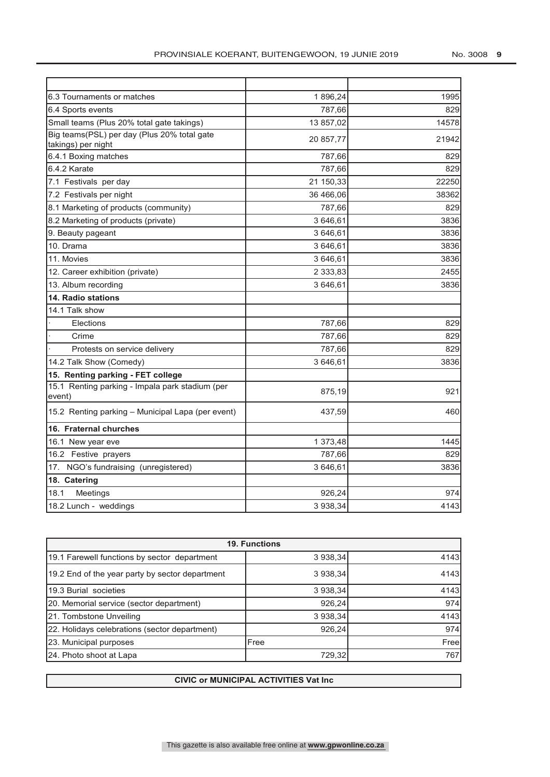| 6.3 Tournaments or matches                                        | 1896,24       | 1995  |
|-------------------------------------------------------------------|---------------|-------|
| 6.4 Sports events                                                 | 787,66        | 829   |
| Small teams (Plus 20% total gate takings)                         | 13 857,02     | 14578 |
| Big teams(PSL) per day (Plus 20% total gate<br>takings) per night | 20 857,77     | 21942 |
| 6.4.1 Boxing matches                                              | 787,66        | 829   |
| 6.4.2 Karate                                                      | 787,66        | 829   |
| 7.1 Festivals per day                                             | 21 150,33     | 22250 |
| 7.2 Festivals per night                                           | 36 466,06     | 38362 |
| 8.1 Marketing of products (community)                             | 787,66        | 829   |
| 8.2 Marketing of products (private)                               | 3 646,61      | 3836  |
| 9. Beauty pageant                                                 | 3 646,61      | 3836  |
| 10. Drama                                                         | 3 646,61      | 3836  |
| 11. Movies                                                        | 3 646,61      | 3836  |
| 12. Career exhibition (private)                                   | 2 3 3 3 , 8 3 | 2455  |
| 13. Album recording                                               | 3 646,61      | 3836  |
| 14. Radio stations                                                |               |       |
| 14.1 Talk show                                                    |               |       |
| Elections                                                         | 787,66        | 829   |
| Crime                                                             | 787,66        | 829   |
| Protests on service delivery                                      | 787,66        | 829   |
| 14.2 Talk Show (Comedy)                                           | 3 646,61      | 3836  |
| 15. Renting parking - FET college                                 |               |       |
| 15.1 Renting parking - Impala park stadium (per<br>event)         | 875,19        | 921   |
| 15.2 Renting parking - Municipal Lapa (per event)                 | 437,59        | 460   |
| 16. Fraternal churches                                            |               |       |
| 16.1 New year eve                                                 | 1 373,48      | 1445  |
| 16.2 Festive prayers                                              | 787,66        | 829   |
| NGO's fundraising (unregistered)<br>17.                           | 3 646,61      | 3836  |
| 18. Catering                                                      |               |       |
| 18.1<br>Meetings                                                  | 926,24        | 974   |
| 18.2 Lunch - weddings                                             | 3 938,34      | 4143  |
|                                                                   |               |       |

| <b>19. Functions</b>                            |          |      |  |
|-------------------------------------------------|----------|------|--|
| 19.1 Farewell functions by sector department    | 3 938,34 | 4143 |  |
| 19.2 End of the year party by sector department | 3 938,34 | 4143 |  |
| 19.3 Burial societies                           | 3 938,34 | 4143 |  |
| 20. Memorial service (sector department)        | 926,24   | 974  |  |
| 21. Tombstone Unveiling                         | 3 938,34 | 4143 |  |
| 22. Holidays celebrations (sector department)   | 926,24   | 974  |  |
| 23. Municipal purposes                          | Free     | Free |  |
| 24. Photo shoot at Lapa                         | 729,32   | 767  |  |

**CIVIC or MUNICIPAL ACTIVITIES Vat Inc**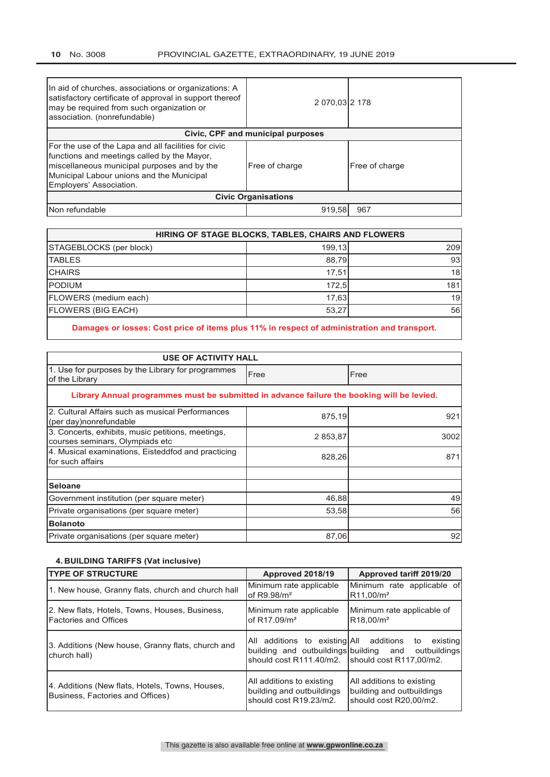| In aid of churches, associations or organizations: A<br>satisfactory certificate of approval in support thereof<br>may be required from such organization or<br>association. (nonrefundable)                               | 2 070,03 2 178 |                |  |
|----------------------------------------------------------------------------------------------------------------------------------------------------------------------------------------------------------------------------|----------------|----------------|--|
| Civic, CPF and municipal purposes                                                                                                                                                                                          |                |                |  |
| For the use of the Lapa and all facilities for civic<br>functions and meetings called by the Mayor,<br>miscellaneous municipal purposes and by the<br>Municipal Labour unions and the Municipal<br>Employers' Association. | Free of charge | Free of charge |  |
| <b>Civic Organisations</b>                                                                                                                                                                                                 |                |                |  |
| Non refundable                                                                                                                                                                                                             | 967<br>919,58  |                |  |

| <b>HIRING OF STAGE BLOCKS, TABLES, CHAIRS AND FLOWERS</b> |        |     |  |
|-----------------------------------------------------------|--------|-----|--|
| STAGEBLOCKS (per block)                                   | 199.13 | 209 |  |
| <b>TABLES</b>                                             | 88,79  | 93  |  |
| <b>CHAIRS</b>                                             | 17,51  | 18  |  |
| <b>PODIUM</b>                                             | 172.5  | 181 |  |
| FLOWERS (medium each)                                     | 17,63  | 19  |  |
| <b>FLOWERS (BIG EACH)</b>                                 | 53,27  | 56  |  |
|                                                           |        |     |  |

**Damages or losses: Cost price of items plus 11% in respect of administration and transport.**

| <b>USE OF ACTIVITY HALL</b>                                                                 |          |              |  |  |
|---------------------------------------------------------------------------------------------|----------|--------------|--|--|
| 1. Use for purposes by the Library for programmes<br>of the Library                         | Free     | <b>IFree</b> |  |  |
| Library Annual programmes must be submitted in advance failure the booking will be levied.  |          |              |  |  |
| 2. Cultural Affairs such as musical Performances<br>875,19<br>921<br>(per day)nonrefundable |          |              |  |  |
| 3. Concerts, exhibits, music petitions, meetings,<br>courses seminars, Olympiads etc.       | 2 853,87 | 3002         |  |  |
| 4. Musical examinations, Eisteddfod and practicing<br>for such affairs                      | 828,26   | 871          |  |  |
|                                                                                             |          |              |  |  |
| Seloane                                                                                     |          |              |  |  |
| Government institution (per square meter)                                                   | 46,88    | 49           |  |  |
| Private organisations (per square meter)                                                    | 53,58    | 56           |  |  |
| <b>Bolanoto</b>                                                                             |          |              |  |  |
| Private organisations (per square meter)                                                    | 87,06    | 92           |  |  |

### **4. BUILDING TARIFFS (Vat inclusive)**

| <b>TYPE OF STRUCTURE</b>                                                            | Approved 2018/19                                                                               | Approved tariff 2019/20                                                          |
|-------------------------------------------------------------------------------------|------------------------------------------------------------------------------------------------|----------------------------------------------------------------------------------|
| 1. New house, Granny flats, church and church hall                                  | Minimum rate applicable<br>of $R9.98/m2$                                                       | Minimum rate applicable of<br>R <sub>11.00</sub> /m <sup>2</sup>                 |
| 2. New flats, Hotels, Towns, Houses, Business,<br><b>Factories and Offices</b>      | Minimum rate applicable<br>of R17.09/m <sup>2</sup>                                            | Minimum rate applicable of<br>R <sub>18.00</sub> /m <sup>2</sup>                 |
| 3. Additions (New house, Granny flats, church and<br>church hall)                   | All additions to existing All additions to<br>should cost R111.40/m2. Ishould cost R117.00/m2. | existing<br>building and outbuildings building and outbuildings                  |
| 4. Additions (New flats, Hotels, Towns, Houses,<br>Business, Factories and Offices) | All additions to existing<br>building and outbuildings<br>should cost R19.23/m2.               | All additions to existing<br>building and outbuildings<br>should cost R20.00/m2. |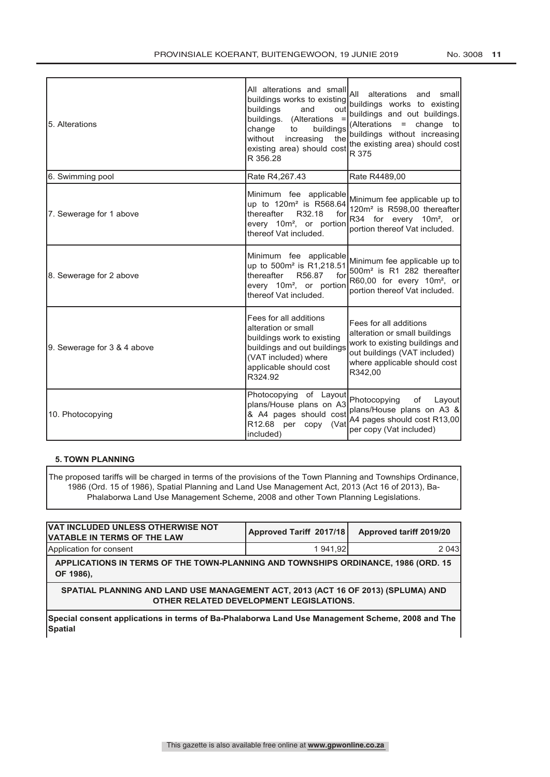| 5. Alterations              | All alterations and small<br>buildings works to existing<br>buildings<br>and<br>out<br>buildings. (Alterations<br>change<br>buildings<br>to<br>without<br>increasing<br>the<br>existing area) should cost<br>R 356.28 | All<br>alterations<br>and<br>small<br>buildings works to existing<br>buildings and out buildings.<br>(Alterations = change to<br>buildings without increasing<br>the existing area) should cost<br>R 375 |
|-----------------------------|-----------------------------------------------------------------------------------------------------------------------------------------------------------------------------------------------------------------------|----------------------------------------------------------------------------------------------------------------------------------------------------------------------------------------------------------|
| 6. Swimming pool            | Rate R4,267.43                                                                                                                                                                                                        | Rate R4489,00                                                                                                                                                                                            |
| 7. Sewerage for 1 above     | Minimum fee applicable<br>up to 120m <sup>2</sup> is R568.64<br>thereafter<br>R32.18<br>for<br>every 10m <sup>2</sup> , or portion<br>thereof Vat included.                                                           | Minimum fee applicable up to<br>120m <sup>2</sup> is R598,00 thereafter<br>R34 for every 10m <sup>2</sup> , or<br>portion thereof Vat included.                                                          |
| 8. Sewerage for 2 above     | Minimum fee applicable<br>up to 500m <sup>2</sup> is R1,218.51<br>thereafter<br>R56.87<br>for<br>every 10m <sup>2</sup> , or portion<br>thereof Vat included.                                                         | Minimum fee applicable up to<br>500m <sup>2</sup> is R1 282 thereafter<br>R60,00 for every 10m <sup>2</sup> , or<br>portion thereof Vat included.                                                        |
| 9. Sewerage for 3 & 4 above | Fees for all additions<br>alteration or small<br>buildings work to existing<br>buildings and out buildings<br>(VAT included) where<br>applicable should cost<br>R324.92                                               | Fees for all additions<br>alteration or small buildings<br>work to existing buildings and<br>out buildings (VAT included)<br>where applicable should cost<br>R342,00                                     |
| 10. Photocopying            | Photocopying of Layout<br>plans/House plans on A3<br>& A4 pages should cost<br>R12.68 per<br>copy<br>(Vat<br>included)                                                                                                | Photocopying<br>of<br>Layout<br>plans/House plans on A3 &<br>A4 pages should cost R13,00<br>per copy (Vat included)                                                                                      |

#### **5. TOWN PLANNING**

The proposed tariffs will be charged in terms of the provisions of the Town Planning and Townships Ordinance, 1986 (Ord. 15 of 1986), Spatial Planning and Land Use Management Act, 2013 (Act 16 of 2013), Ba-Phalaborwa Land Use Management Scheme, 2008 and other Town Planning Legislations.

| <b>VAT INCLUDED UNLESS OTHERWISE NOT</b><br><b>VATABLE IN TERMS OF THE LAW</b> | Approved Tariff 2017/18 | Approved tariff 2019/20 |
|--------------------------------------------------------------------------------|-------------------------|-------------------------|
| Application for consent                                                        | 1941.92                 | 2 043                   |

**APPLICATIONS IN TERMS OF THE TOWN-PLANNING AND TOWNSHIPS ORDINANCE, 1986 (ORD. 15 OF 1986),** 

**SPATIAL PLANNING AND LAND USE MANAGEMENT ACT, 2013 (ACT 16 OF 2013) (SPLUMA) AND OTHER RELATED DEVELOPMENT LEGISLATIONS.** 

**Special consent applications in terms of Ba-Phalaborwa Land Use Management Scheme, 2008 and The Spatial**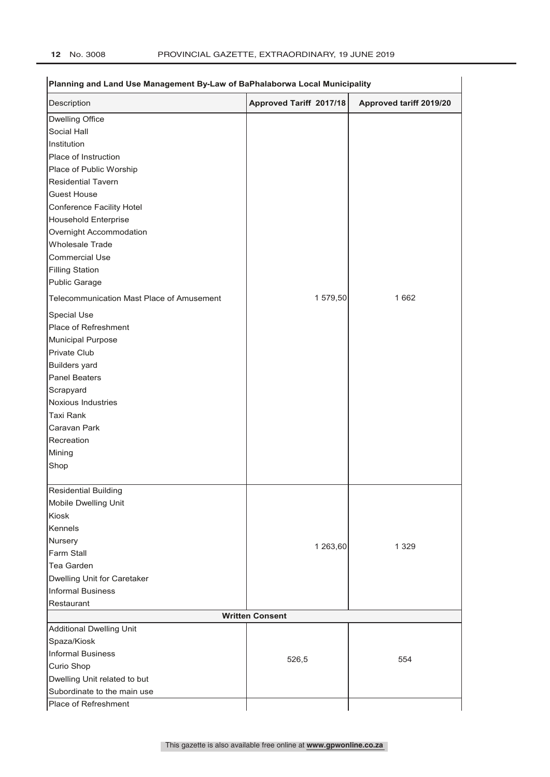| Planning and Land Use Management By-Law of BaPhalaborwa Local Municipality |                         |          |                         |
|----------------------------------------------------------------------------|-------------------------|----------|-------------------------|
| Description                                                                | Approved Tariff 2017/18 |          | Approved tariff 2019/20 |
| <b>Dwelling Office</b>                                                     |                         |          |                         |
| Social Hall                                                                |                         |          |                         |
| Institution                                                                |                         |          |                         |
| Place of Instruction                                                       |                         |          |                         |
| Place of Public Worship                                                    |                         |          |                         |
| <b>Residential Tavern</b>                                                  |                         |          |                         |
| <b>Guest House</b>                                                         |                         |          |                         |
| Conference Facility Hotel                                                  |                         |          |                         |
| <b>Household Enterprise</b>                                                |                         |          |                         |
| Overnight Accommodation                                                    |                         |          |                         |
| <b>Wholesale Trade</b>                                                     |                         |          |                         |
| <b>Commercial Use</b>                                                      |                         |          |                         |
| <b>Filling Station</b>                                                     |                         |          |                         |
| <b>Public Garage</b>                                                       |                         |          |                         |
| Telecommunication Mast Place of Amusement                                  |                         | 1 579,50 | 1 6 6 2                 |
| <b>Special Use</b>                                                         |                         |          |                         |
| Place of Refreshment                                                       |                         |          |                         |
| Municipal Purpose                                                          |                         |          |                         |
| Private Club                                                               |                         |          |                         |
| <b>Builders yard</b>                                                       |                         |          |                         |
| <b>Panel Beaters</b>                                                       |                         |          |                         |
| Scrapyard                                                                  |                         |          |                         |
| Noxious Industries                                                         |                         |          |                         |
| Taxi Rank                                                                  |                         |          |                         |
| Caravan Park                                                               |                         |          |                         |
| Recreation                                                                 |                         |          |                         |
| Mining                                                                     |                         |          |                         |
| Shop                                                                       |                         |          |                         |
|                                                                            |                         |          |                         |
| Residential Building                                                       |                         |          |                         |
| Mobile Dwelling Unit                                                       |                         |          |                         |
| Kiosk                                                                      |                         |          |                         |
| Kennels                                                                    |                         |          |                         |
| Nursery                                                                    |                         | 1 263,60 | 1 3 2 9                 |
| Farm Stall                                                                 |                         |          |                         |
| Tea Garden                                                                 |                         |          |                         |
| Dwelling Unit for Caretaker<br><b>Informal Business</b>                    |                         |          |                         |
| Restaurant                                                                 |                         |          |                         |
|                                                                            | <b>Written Consent</b>  |          |                         |
| <b>Additional Dwelling Unit</b>                                            |                         |          |                         |
| Spaza/Kiosk                                                                |                         |          |                         |
| <b>Informal Business</b>                                                   |                         |          |                         |
| Curio Shop                                                                 | 526,5                   |          | 554                     |
| Dwelling Unit related to but                                               |                         |          |                         |
| Subordinate to the main use                                                |                         |          |                         |
| Place of Refreshment                                                       |                         |          |                         |
|                                                                            |                         |          |                         |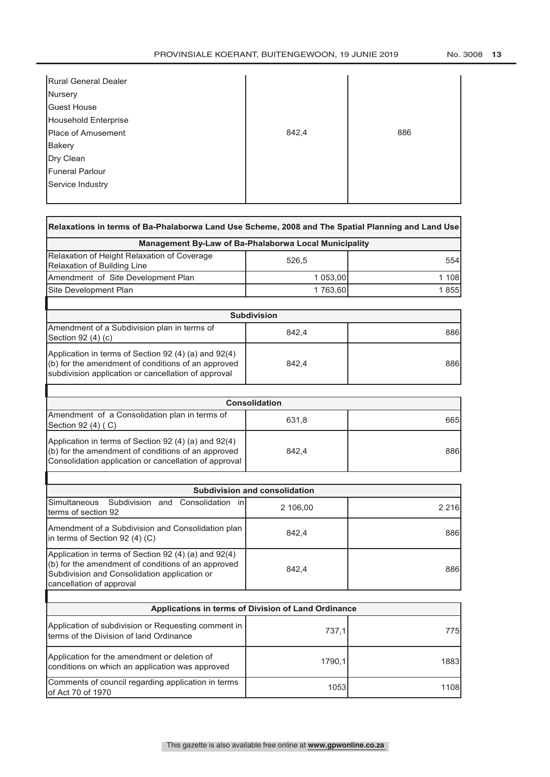٦

| Rural General Dealer   |       |     |
|------------------------|-------|-----|
| Nursery                |       |     |
| <b>Guest House</b>     |       |     |
| Household Enterprise   |       |     |
| Place of Amusement     | 842,4 | 886 |
| <b>Bakery</b>          |       |     |
| Dry Clean              |       |     |
| <b>Funeral Parlour</b> |       |     |
| Service Industry       |       |     |
|                        |       |     |

Г

| Relaxations in terms of Ba-Phalaborwa Land Use Scheme, 2008 and The Spatial Planning and Land Use                                                                                                                                                                                                                                                         |                                                       |         |  |
|-----------------------------------------------------------------------------------------------------------------------------------------------------------------------------------------------------------------------------------------------------------------------------------------------------------------------------------------------------------|-------------------------------------------------------|---------|--|
|                                                                                                                                                                                                                                                                                                                                                           | Management By-Law of Ba-Phalaborwa Local Municipality |         |  |
| Relaxation of Height Relaxation of Coverage<br>Relaxation of Building Line                                                                                                                                                                                                                                                                                | 526,5                                                 | 554     |  |
| Amendment of Site Development Plan                                                                                                                                                                                                                                                                                                                        | 1 053,00                                              | 1 1 0 8 |  |
| Site Development Plan                                                                                                                                                                                                                                                                                                                                     | 1763,60                                               | 1855    |  |
|                                                                                                                                                                                                                                                                                                                                                           |                                                       |         |  |
|                                                                                                                                                                                                                                                                                                                                                           | <b>Subdivision</b>                                    |         |  |
| Amendment of a Subdivision plan in terms of<br>Section 92 (4) (c)                                                                                                                                                                                                                                                                                         | 842,4                                                 | 886     |  |
| Application in terms of Section 92 (4) (a) and 92(4)<br>(b) for the amendment of conditions of an approved<br>subdivision application or cancellation of approval                                                                                                                                                                                         | 842,4                                                 | 886     |  |
|                                                                                                                                                                                                                                                                                                                                                           |                                                       |         |  |
|                                                                                                                                                                                                                                                                                                                                                           | <b>Consolidation</b>                                  |         |  |
| $\bullet$ and $\bullet$ and $\bullet$ and $\bullet$ and $\bullet$ and $\bullet$ and $\bullet$ and $\bullet$ and $\bullet$ and $\bullet$ and $\bullet$ and $\bullet$ and $\bullet$ and $\bullet$ and $\bullet$ and $\bullet$ and $\bullet$ and $\bullet$ and $\bullet$ and $\bullet$ and $\bullet$ and $\bullet$ and $\bullet$ and $\bullet$ and $\bullet$ |                                                       |         |  |

| <b>UUIISUIIUAUUII</b>                                                                                                                                                 |       |     |
|-----------------------------------------------------------------------------------------------------------------------------------------------------------------------|-------|-----|
| Amendment of a Consolidation plan in terms of<br>Section 92 (4) ( C)                                                                                                  | 631.8 | 665 |
| Application in terms of Section 92 (4) (a) and 92(4)<br>$(6)$ for the amendment of conditions of an approved<br>Consolidation application or cancellation of approval | 842.4 | 886 |
|                                                                                                                                                                       |       |     |

| <b>Subdivision and consolidation</b>                                                                                                                                                     |          |           |
|------------------------------------------------------------------------------------------------------------------------------------------------------------------------------------------|----------|-----------|
| Subdivision and Consolidation<br>Simultaneous<br>inl<br>lterms of section 92                                                                                                             | 2 106,00 | 2 2 1 6 I |
| Amendment of a Subdivision and Consolidation plan<br>In terms of Section 92 $(4)(C)$                                                                                                     | 842.4    | 886       |
| Application in terms of Section 92 (4) (a) and 92(4)<br>$(b)$ for the amendment of conditions of an approved<br>Subdivision and Consolidation application or<br>cancellation of approval | 842.4    | 886       |

| Applications in terms of Division of Land Ordinance                                             |        |      |
|-------------------------------------------------------------------------------------------------|--------|------|
| Application of subdivision or Requesting comment in<br>terms of the Division of land Ordinance  | 737,1  | 7751 |
| Application for the amendment or deletion of<br>conditions on which an application was approved | 1790.1 | 1883 |
| Comments of council regarding application in terms<br>of Act 70 of 1970                         | 1053   | 1108 |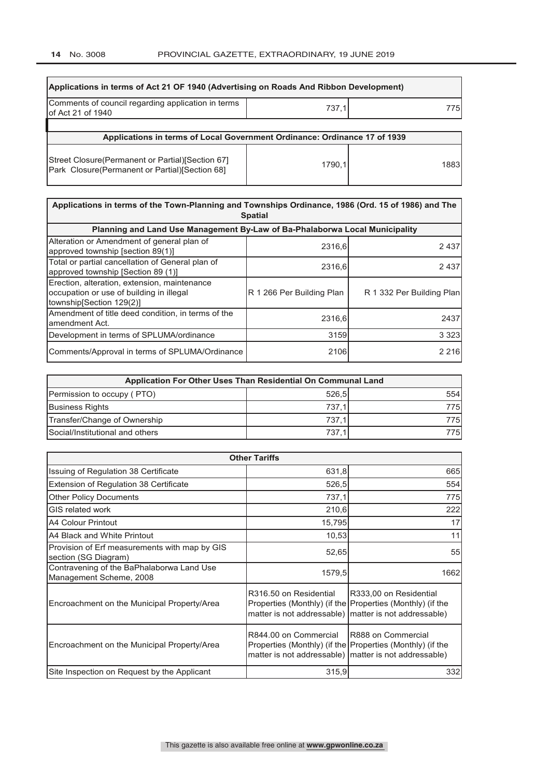| Applications in terms of Act 21 OF 1940 (Advertising on Roads And Ribbon Development) |        |      |
|---------------------------------------------------------------------------------------|--------|------|
| Comments of council regarding application in terms<br><b>of Act 21 of 1940</b>        | 737.11 | 775I |
|                                                                                       |        |      |

| Applications in terms of Local Government Ordinance: Ordinance 17 of 1939                              |        |       |
|--------------------------------------------------------------------------------------------------------|--------|-------|
| Street Closure (Permanent or Partial) [Section 67]<br>Park Closure (Permanent or Partial) [Section 68] | 1790.1 | 1883I |

| Applications in terms of the Town-Planning and Townships Ordinance, 1986 (Ord. 15 of 1986) and The<br><b>Spatial</b> |                           |                           |
|----------------------------------------------------------------------------------------------------------------------|---------------------------|---------------------------|
| Planning and Land Use Management By-Law of Ba-Phalaborwa Local Municipality                                          |                           |                           |
| Alteration or Amendment of general plan of<br>approved township [section 89(1)]                                      | 2316,6                    | 2 4 3 7                   |
| Total or partial cancellation of General plan of<br>approved township [Section 89 (1)]                               | 2316.6                    | 2437                      |
| Erection, alteration, extension, maintenance<br>occupation or use of building in illegal<br>township[Section 129(2)] | R 1 266 Per Building Plan | R 1 332 Per Building Plan |
| Amendment of title deed condition, in terms of the<br>amendment Act.                                                 | 2316,6                    | 2437                      |
| Development in terms of SPLUMA/ordinance                                                                             | 3159                      | 3 3 2 3                   |
| Comments/Approval in terms of SPLUMA/Ordinance                                                                       | 2106                      | 2 2 1 6                   |

| Application For Other Uses Than Residential On Communal Land |       |      |
|--------------------------------------------------------------|-------|------|
| Permission to occupy (PTO)                                   | 526.5 | 554  |
| <b>Business Rights</b>                                       | 737.1 | 775' |
| Transfer/Change of Ownership                                 | 737.1 | 7751 |
| <b>ISocial/Institutional and others</b>                      | 737.1 | 7751 |

| <b>Other Tariffs</b>                                                  |                                                      |                                                                                                                   |
|-----------------------------------------------------------------------|------------------------------------------------------|-------------------------------------------------------------------------------------------------------------------|
| Issuing of Regulation 38 Certificate                                  | 631,8                                                | 665                                                                                                               |
| Extension of Regulation 38 Certificate                                | 526,5                                                | 554                                                                                                               |
| <b>Other Policy Documents</b>                                         | 737,1                                                | 775                                                                                                               |
| GIS related work                                                      | 210,6                                                | 222                                                                                                               |
| A4 Colour Printout                                                    | 15,795                                               | 17                                                                                                                |
| A4 Black and White Printout                                           | 10,53                                                | 11                                                                                                                |
| Provision of Erf measurements with map by GIS<br>section (SG Diagram) | 52,65                                                | 55                                                                                                                |
| Contravening of the BaPhalaborwa Land Use<br>Management Scheme, 2008  | 1579,5                                               | 1662                                                                                                              |
| Encroachment on the Municipal Property/Area                           | R316.50 on Residential<br>matter is not addressable) | R333,00 on Residential<br>Properties (Monthly) (if the Properties (Monthly) (if the<br>matter is not addressable) |
| Encroachment on the Municipal Property/Area                           | R844.00 on Commercial<br>matter is not addressable)  | R888 on Commercial<br>Properties (Monthly) (if the Properties (Monthly) (if the<br>matter is not addressable)     |
| Site Inspection on Request by the Applicant                           | 315,9                                                | 332                                                                                                               |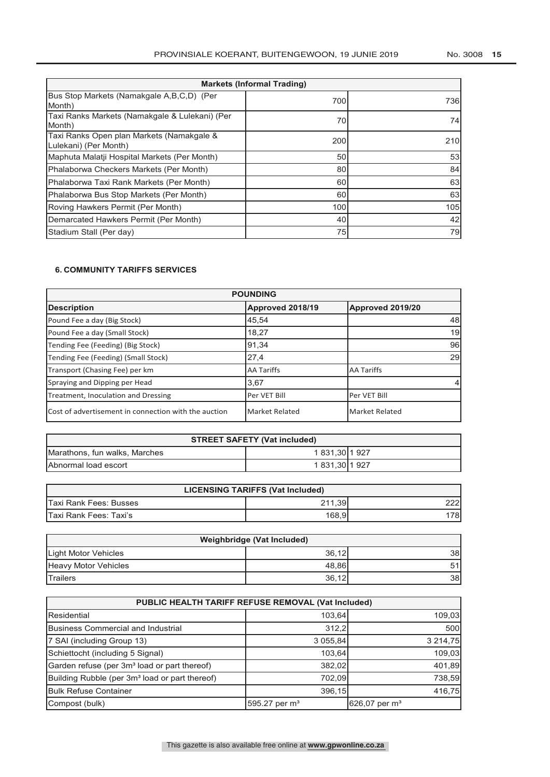| <b>Markets (Informal Trading)</b>                                  |     |     |  |
|--------------------------------------------------------------------|-----|-----|--|
| Bus Stop Markets (Namakgale A,B,C,D) (Per<br>Month)                | 700 | 736 |  |
| Taxi Ranks Markets (Namakgale & Lulekani) (Per<br>Month)           | 70I | 74  |  |
| Taxi Ranks Open plan Markets (Namakgale &<br>Lulekani) (Per Month) | 200 | 210 |  |
| Maphuta Malatji Hospital Markets (Per Month)                       | 50  | 53  |  |
| Phalaborwa Checkers Markets (Per Month)                            | 80  | 84  |  |
| Phalaborwa Taxi Rank Markets (Per Month)                           | 60  | 63  |  |
| Phalaborwa Bus Stop Markets (Per Month)                            | 60  | 63  |  |
| Roving Hawkers Permit (Per Month)                                  | 100 | 105 |  |
| Demarcated Hawkers Permit (Per Month)                              | 40  | 42  |  |
| Stadium Stall (Per day)                                            | 75  | 79  |  |

### **6. COMMUNITY TARIFFS SERVICES**

| <b>POUNDING</b>                                      |                   |                   |
|------------------------------------------------------|-------------------|-------------------|
| <b>Description</b>                                   | Approved 2018/19  | Approved 2019/20  |
| Pound Fee a day (Big Stock)                          | 45,54             | 48                |
| Pound Fee a day (Small Stock)                        | 18,27             | 19 <sub>1</sub>   |
| Tending Fee (Feeding) (Big Stock)                    | 91,34             | 96                |
| Tending Fee (Feeding) (Small Stock)                  | 27,4              | 29                |
| Transport (Chasing Fee) per km                       | <b>AA Tariffs</b> | <b>AA Tariffs</b> |
| Spraying and Dipping per Head                        | 3,67              | 4                 |
| Treatment, Inoculation and Dressing                  | Per VET Bill      | Per VET Bill      |
| Cost of advertisement in connection with the auction | Market Related    | Market Related    |

| <b>STREET SAFETY (Vat included)</b> |              |  |
|-------------------------------------|--------------|--|
| Marathons, fun walks, Marches       | 1831,30 1927 |  |
| IAbnormal load escort               | 1831,30 1927 |  |

| <b>LICENSING TARIFFS (Vat Included)</b> |        |      |
|-----------------------------------------|--------|------|
| <b>Taxi Rank Fees: Busses</b>           | 211.39 | 2221 |
| <b>Taxi Rank Fees: Taxi's</b>           | 168.9  | 178I |

| Weighbridge (Vat Included)  |       |     |
|-----------------------------|-------|-----|
| Light Motor Vehicles        | 36,12 | 38  |
| <b>Heavy Motor Vehicles</b> | 48,86 | 51  |
| <b>Trailers</b>             | 36,12 | 381 |

| PUBLIC HEALTH TARIFF REFUSE REMOVAL (Vat Included)         |                           |                           |  |
|------------------------------------------------------------|---------------------------|---------------------------|--|
| Residential                                                | 103,64                    | 109,03                    |  |
| Business Commercial and Industrial                         | 312,2                     | 500                       |  |
| 7 SAI (including Group 13)                                 | 3 055,84                  | 3 2 1 4 7 5               |  |
| Schiettocht (including 5 Signal)                           | 103,64                    | 109,03                    |  |
| Garden refuse (per 3m <sup>3</sup> load or part thereof)   | 382,02                    | 401,89                    |  |
| Building Rubble (per 3m <sup>3</sup> load or part thereof) | 702.09                    | 738,59                    |  |
| <b>Bulk Refuse Container</b>                               | 396,15                    | 416,75                    |  |
| Compost (bulk)                                             | 595.27 per m <sup>3</sup> | 626,07 per m <sup>3</sup> |  |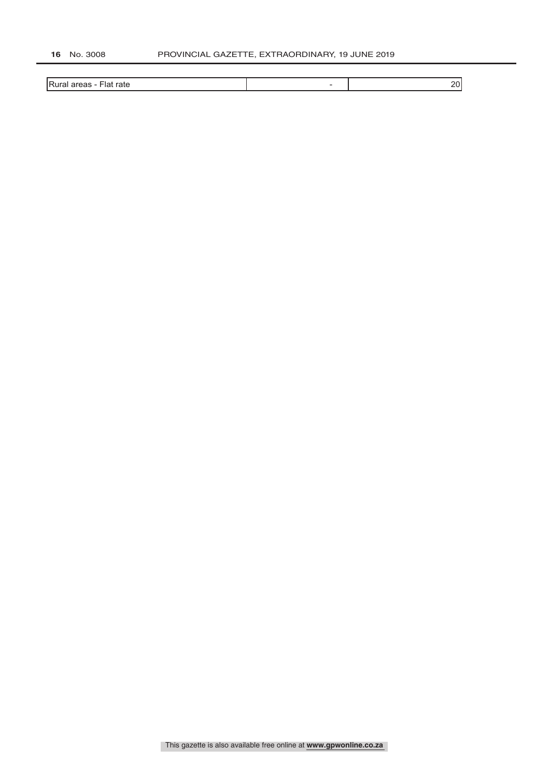#### **16** No. 3008 PROVINCIAL GAZETTE, EXTRAORDINARY, 19 JUNE 2019

| D<br>. .<br>$-1$<br>וו ד<br>--- -<br>$\overline{ }$<br>$\sim$ | - |  |
|---------------------------------------------------------------|---|--|
|                                                               |   |  |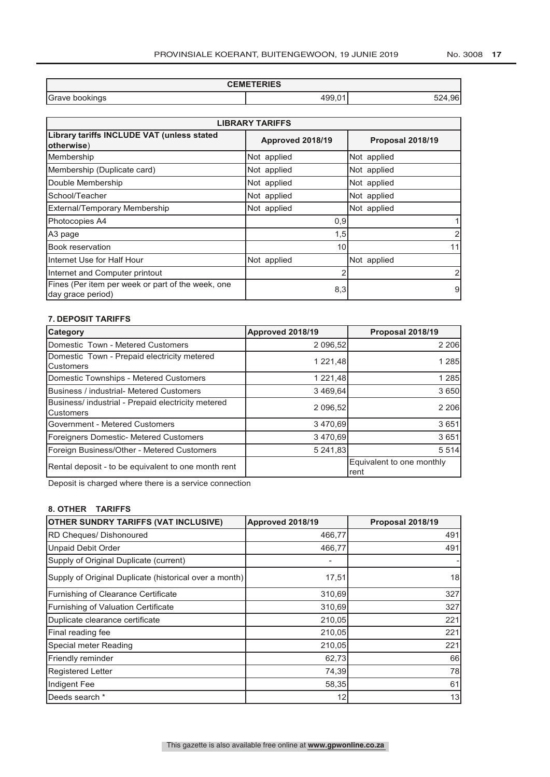|                | <b>CEMETERIES</b> |     |
|----------------|-------------------|-----|
| Grave bookings | 499.C             | .96 |

| <b>LIBRARY TARIFFS</b>                                                 |                  |                  |
|------------------------------------------------------------------------|------------------|------------------|
| Library tariffs INCLUDE VAT (unless stated<br>otherwise)               | Approved 2018/19 | Proposal 2018/19 |
| Membership                                                             | Not applied      | Not applied      |
| Membership (Duplicate card)                                            | Not applied      | Not applied      |
| Double Membership                                                      | Not applied      | Not applied      |
| School/Teacher                                                         | Not applied      | Not applied      |
| <b>External/Temporary Membership</b>                                   | Not applied      | Not applied      |
| Photocopies A4                                                         | 0,9              |                  |
| A3 page                                                                | 1,5              |                  |
| <b>Book reservation</b>                                                | 10I              | 11               |
| Internet Use for Half Hour                                             | Not applied      | Not applied      |
| Internet and Computer printout                                         |                  |                  |
| Fines (Per item per week or part of the week, one<br>day grace period) | 8,3              | 9                |

#### **7. DEPOSIT TARIFFS**

| Category                                                        | Approved 2018/19 | Proposal 2018/19                  |
|-----------------------------------------------------------------|------------------|-----------------------------------|
| Domestic Town - Metered Customers                               | 2 096,52         | 2 2 0 6                           |
| Domestic Town - Prepaid electricity metered<br>Customers        | 1 2 2 1 4 8      | 1 2 8 5                           |
| Domestic Townships - Metered Customers                          | 1 2 2 1 4 8      | 1 2 8 5                           |
| <b>Business / industrial- Metered Customers</b>                 | 3 469,64         | 3 6 5 0                           |
| Business/ industrial - Prepaid electricity metered<br>Customers | 2 096,52         | 2 2 0 6                           |
| Government - Metered Customers                                  | 3470,69          | 3 6 5 1                           |
| <b>Foreigners Domestic- Metered Customers</b>                   | 3470,69          | 3 6 5 1                           |
| Foreign Business/Other - Metered Customers                      | 5 241,83         | 5 5 1 4                           |
| Rental deposit - to be equivalent to one month rent             |                  | Equivalent to one monthly<br>rent |

Deposit is charged where there is a service connection

### **8. OTHER TARIFFS**

| OTHER SUNDRY TARIFFS (VAT INCLUSIVE)                   | Approved 2018/19 | Proposal 2018/19 |
|--------------------------------------------------------|------------------|------------------|
| RD Cheques/ Dishonoured                                | 466,77           | 491              |
| <b>Unpaid Debit Order</b>                              | 466,77           | 491              |
| Supply of Original Duplicate (current)                 |                  |                  |
| Supply of Original Duplicate (historical over a month) | 17,51            | 18 <sup>l</sup>  |
| Furnishing of Clearance Certificate                    | 310,69           | 327              |
| Furnishing of Valuation Certificate                    | 310,69           | 327              |
| Duplicate clearance certificate                        | 210,05           | 221              |
| Final reading fee                                      | 210,05           | 221              |
| Special meter Reading                                  | 210,05           | 221              |
| Friendly reminder                                      | 62,73            | 66               |
| Registered Letter                                      | 74,39            | 78               |
| Indigent Fee                                           | 58,35            | 61               |
| Deeds search *                                         | 12               | 13               |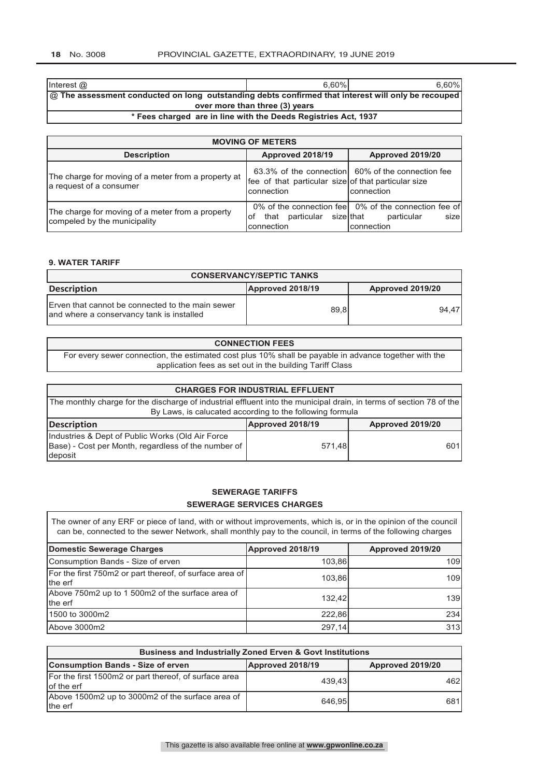| Interest $@$                                                                                            | $6.60\%$ | $6.60\%$ |
|---------------------------------------------------------------------------------------------------------|----------|----------|
| $\phi$ The assessment conducted on long outstanding debts confirmed that interest will only be recouped |          |          |
| over more than three (3) years                                                                          |          |          |
| * Fees charged are in line with the Deeds Registries Act, 1937                                          |          |          |

| <b>MOVING OF METERS</b>                                                          |                                                                   |                                                                                            |
|----------------------------------------------------------------------------------|-------------------------------------------------------------------|--------------------------------------------------------------------------------------------|
| <b>Description</b>                                                               | Approved 2018/19                                                  | Approved 2019/20                                                                           |
| The charge for moving of a meter from a property at<br>a request of a consumer   | fee of that particular size of that particular size<br>connection | 63.3% of the connection 60% of the connection fee<br>connection                            |
| The charge for moving of a meter from a property<br>compeled by the municipality | particular size that<br>that<br>οf<br>connection                  | 0% of the connection fee   0% of the connection fee of<br>size<br>particular<br>connection |

#### **9. WATER TARIFF**

| <b>CONSERVANCY/SEPTIC TANKS</b>                                                               |                  |                  |
|-----------------------------------------------------------------------------------------------|------------------|------------------|
| <b>Description</b>                                                                            | Approved 2018/19 | Approved 2019/20 |
| Erven that cannot be connected to the main sewer<br>and where a conservancy tank is installed | 89.8             | 94.47            |

|                                                                                                       | <b>CONNECTION FEES</b> |
|-------------------------------------------------------------------------------------------------------|------------------------|
| For every sewer connection, the estimated cost plus 10% shall be payable in advance together with the |                        |
| application fees as set out in the building Tariff Class                                              |                        |

| <b>CHARGES FOR INDUSTRIAL EFFLUENT</b>                                                                                                                                          |                  |                  |
|---------------------------------------------------------------------------------------------------------------------------------------------------------------------------------|------------------|------------------|
| The monthly charge for the discharge of industrial effluent into the municipal drain, in terms of section 78 of the<br>By Laws, is calucated according to the following formula |                  |                  |
| <b>Description</b>                                                                                                                                                              | Approved 2018/19 | Approved 2019/20 |
| Industries & Dept of Public Works (Old Air Force<br>Base) - Cost per Month, regardless of the number of<br>deposit                                                              | 571,48           | 601              |

### **SEWERAGE SERVICES CHARGES SEWERAGE TARIFFS**

| The owner of any ERF or piece of land, with or without improvements, which is, or in the opinion of the council<br>can be, connected to the sewer Network, shall monthly pay to the council, in terms of the following charges |                  |                  |
|--------------------------------------------------------------------------------------------------------------------------------------------------------------------------------------------------------------------------------|------------------|------------------|
| Domestic Sewerage Charges                                                                                                                                                                                                      | Approved 2018/19 | Approved 2019/20 |
| Consumption Bands - Size of erven                                                                                                                                                                                              | 103,86           | 109              |
| For the first 750m2 or part thereof, of surface area of<br>the erf                                                                                                                                                             | 103.86           | 109              |
| Above 750m2 up to 1 500m2 of the surface area of<br>the erf                                                                                                                                                                    | 132,42           | 139              |
| 1500 to 3000m2                                                                                                                                                                                                                 | 222.86           | 234              |
| Above 3000m2                                                                                                                                                                                                                   | 297.14           | 313              |

| <b>Business and Industrially Zoned Erven &amp; Govt Institutions</b> |                  |                  |  |
|----------------------------------------------------------------------|------------------|------------------|--|
| <b>Consumption Bands - Size of erven</b>                             | Approved 2018/19 | Approved 2019/20 |  |
| For the first 1500m2 or part thereof, of surface area<br>of the erf  | 439.43           | 462              |  |
| Above 1500m2 up to 3000m2 of the surface area of<br>the erf          | 646.95           | 681              |  |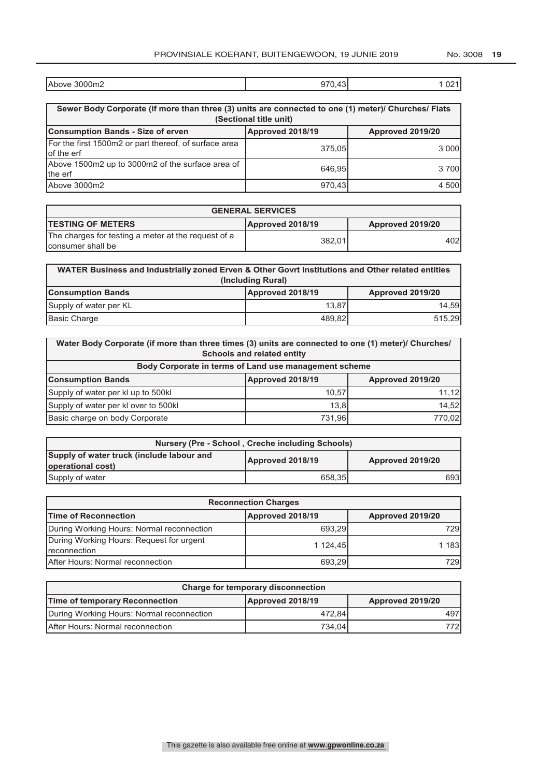|  | No. 3008 | 19 |
|--|----------|----|
|--|----------|----|

| Above<br>.300000m<br>╹╹╹┻<br>$- \cdot \cdot$ | $\sim$ | ັ |
|----------------------------------------------|--------|---|
|                                              |        |   |

| Sewer Body Corporate (if more than three (3) units are connected to one (1) meter)/ Churches/ Flats<br>(Sectional title unit) |                  |                  |  |
|-------------------------------------------------------------------------------------------------------------------------------|------------------|------------------|--|
| <b>Consumption Bands - Size of erven</b>                                                                                      | Approved 2018/19 | Approved 2019/20 |  |
| For the first 1500m2 or part thereof, of surface area<br>of the erf                                                           | 375.05           | 3 0 0 0          |  |
| Above 1500m2 up to 3000m2 of the surface area of<br>the erf                                                                   | 646.95           | 3700             |  |
| Above 3000m2                                                                                                                  | 970.43           | 4 500            |  |

| <b>GENERAL SERVICES</b>                                                  |                  |                  |
|--------------------------------------------------------------------------|------------------|------------------|
| <b>ITESTING OF METERS</b>                                                | Approved 2018/19 | Approved 2019/20 |
| The charges for testing a meter at the request of a<br>consumer shall be | 382.01           | 402              |

| WATER Business and Industrially zoned Erven & Other Govrt Institutions and Other related entities<br>(Including Rural) |                  |                  |  |
|------------------------------------------------------------------------------------------------------------------------|------------------|------------------|--|
| <b>Consumption Bands</b>                                                                                               | Approved 2018/19 | Approved 2019/20 |  |
| Supply of water per KL                                                                                                 | 13.87            | 14.59            |  |
| <b>Basic Charge</b>                                                                                                    | 489.82           | 515.29           |  |

| Water Body Corporate (if more than three times (3) units are connected to one (1) meter)/ Churches/<br><b>Schools and related entity</b> |                  |                  |
|------------------------------------------------------------------------------------------------------------------------------------------|------------------|------------------|
| Body Corporate in terms of Land use management scheme                                                                                    |                  |                  |
| <b>Consumption Bands</b>                                                                                                                 | Approved 2018/19 | Approved 2019/20 |
| Supply of water per kl up to 500kl                                                                                                       | 10.57            | 11.12            |
| Supply of water per kl over to 500kl                                                                                                     | 13.8             | 14.52            |
| Basic charge on body Corporate                                                                                                           | 731,96           | 770.02           |

| Nursery (Pre - School, Creche including Schools)               |                  |                  |
|----------------------------------------------------------------|------------------|------------------|
| Supply of water truck (include labour and<br>operational cost) | Approved 2018/19 | Approved 2019/20 |
| Supply of water                                                | 658.35           | 693              |

| <b>Reconnection Charges</b>                              |                  |                  |
|----------------------------------------------------------|------------------|------------------|
| <b>Time of Reconnection</b>                              | Approved 2018/19 | Approved 2019/20 |
| During Working Hours: Normal reconnection                | 693.29           | 729I             |
| During Working Hours: Request for urgent<br>reconnection | 1 1 2 4 . 4 5    | 1 183            |
| After Hours: Normal reconnection                         | 693.29           | 729I             |

| Charge for temporary disconnection        |                  |                  |  |
|-------------------------------------------|------------------|------------------|--|
| Time of temporary Reconnection            | Approved 2018/19 | Approved 2019/20 |  |
| During Working Hours: Normal reconnection | 472.84           | 497              |  |
| After Hours: Normal reconnection          | 734.04           |                  |  |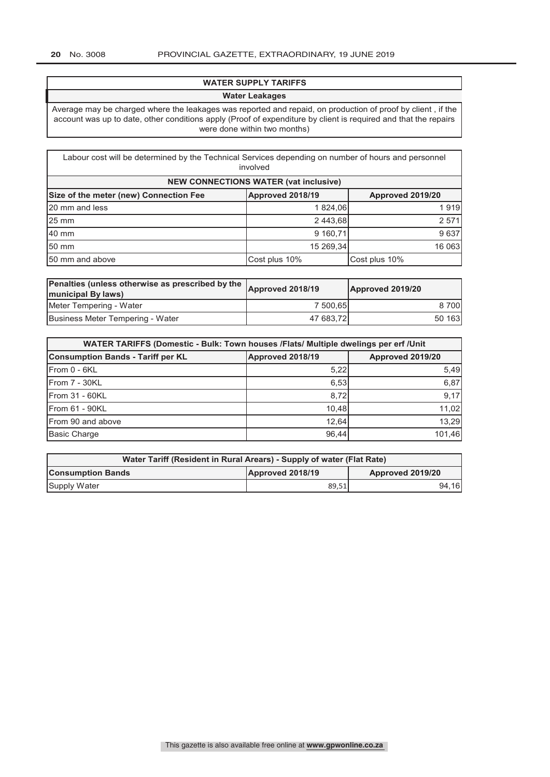#### **WATER SUPPLY TARIFFS**

#### **Water Leakages**

Average may be charged where the leakages was reported and repaid, on production of proof by client , if the account was up to date, other conditions apply (Proof of expenditure by client is required and that the repairs were done within two months)

Labour cost will be determined by the Technical Services depending on number of hours and personnel involved

| <b>NEW CONNECTIONS WATER (vat inclusive)</b> |                  |                  |  |
|----------------------------------------------|------------------|------------------|--|
| Size of the meter (new) Connection Fee       | Approved 2018/19 | Approved 2019/20 |  |
| 20 mm and less                               | 1824.06          | 1919             |  |
| $25 \text{ mm}$                              | 2 443.68         | 2 5 7 1          |  |
| 40 mm                                        | 9 160.71         | 9637             |  |
| <b>50 mm</b>                                 | 15 269.34        | 16 063           |  |
| 150 mm and above                             | Cost plus 10%    | Cost plus 10%    |  |

| Penalties (unless otherwise as prescribed by the Approved 2018/19<br>municipal By laws) |           | Approved 2019/20 |
|-----------------------------------------------------------------------------------------|-----------|------------------|
| Meter Tempering - Water                                                                 | 7 500.65  | 8700             |
| Business Meter Tempering - Water                                                        | 47 683.72 | 50 163           |

| WATER TARIFFS (Domestic - Bulk: Town houses /Flats/ Multiple dwelings per erf /Unit |                  |                  |  |
|-------------------------------------------------------------------------------------|------------------|------------------|--|
| <b>Consumption Bands - Tariff per KL</b>                                            | Approved 2018/19 | Approved 2019/20 |  |
| From 0 - 6KL                                                                        | 5.22             | 5,49             |  |
| From 7 - 30KL                                                                       | 6,53             | 6,87             |  |
| From 31 - 60KL                                                                      | 8.72             | 9,17             |  |
| From 61 - 90KL                                                                      | 10.48            | 11.02            |  |
| From 90 and above                                                                   | 12.64            | 13,29            |  |
| <b>Basic Charge</b>                                                                 | 96.44            | 101,46           |  |

| Water Tariff (Resident in Rural Arears) - Supply of water (Flat Rate) |                  |                  |  |
|-----------------------------------------------------------------------|------------------|------------------|--|
| <b>Consumption Bands</b>                                              | Approved 2018/19 | Approved 2019/20 |  |
| Supply Water                                                          | 89,51            | 94.16            |  |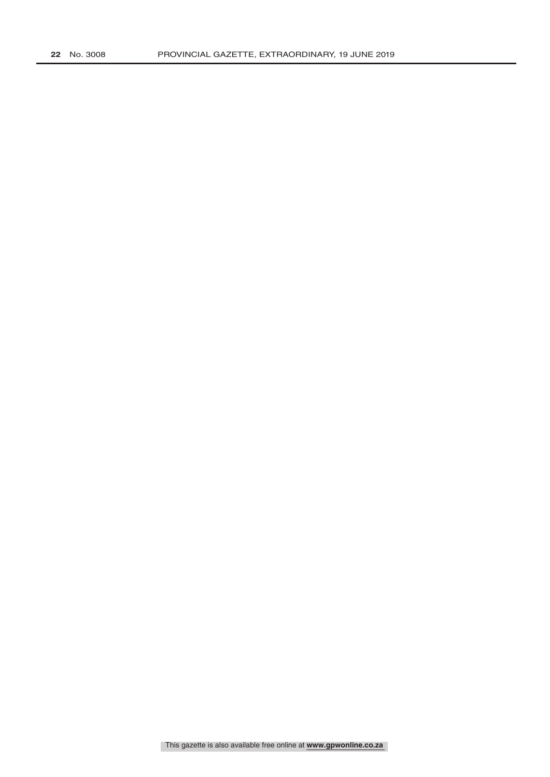This gazette is also available free online at **www.gpwonline.co.za**